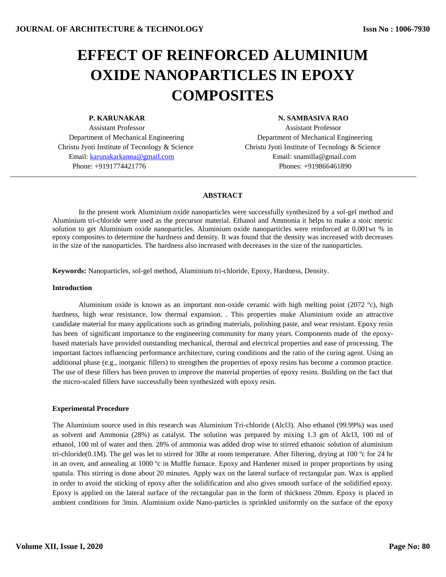# **EFFECT OF REINFORCED ALUMINIUM OXIDE NANOPARTICLES IN EPOXY COMPOSITES**

 Assistant Professor Assistant Professor Christu Jyoti Institute of Tecnology & Science Christu Jyoti Institute of Tecnology & Science Email[: karunakarkanna@gmail.com](mailto:karunakarkanna@gmail.com) Email: snamilla@gmail.com Phone: +9191774421776 Phones: +919866461890

# **P. KARUNAKAR N. SAMBASIVA RAO**

Department of Mechanical Engineering Department of Mechanical Engineering

# **ABSTRACT**

In the present work Aluminium oxide nanoparticles were successfully synthesized by a sol-gel method and Aluminium tri-chloride were used as the precursor material. Ethanol and Ammonia it helps to make a stoic metric solution to get Aluminium oxide nanoparticles. Aluminium oxide nanoparticles were reinforced at 0.001wt % in epoxy composites to determine the hardness and density. It was found that the density was increased with decreases in the size of the nanoparticles. The hardness also increased with decreases in the size of the nanoparticles.

**Keywords:** Nanoparticles, sol-gel method, Aluminium tri-chloride, Epoxy, Hardness, Density.

# **Introduction**

Aluminium oxide is known as an important non-oxide ceramic with high melting point (2072  $^{\circ}$ c), high hardness, high wear resistance, low thermal expansion. . This properties make Aluminium oxide an attractive candidate material for many applications such as grinding materials, polishing paste, and wear resistant. Epoxy resin has been of significant importance to the engineering community for many years. Components made of the epoxybased materials have provided outstanding mechanical, thermal and electrical properties and ease of processing. The important factors influencing performance architecture, curing conditions and the ratio of the curing agent. Using an additional phase (e.g., inorganic fillers) to strengthen the properties of epoxy resins has become a common practice. The use of these fillers has been proven to improve the material properties of epoxy resins. Building on the fact that the micro-scaled fillers have successfully been synthesized with epoxy resin.

# **Experimental Procedure**

The Aluminium source used in this research was Aluminium Tri-chloride (Alcl3). Also ethanol (99.99%) was used as solvent and Ammonia (28%) as catalyst. The solution was prepared by mixing 1.3 gm of Alcl3, 100 ml of ethanol, 100 ml of water and then. 28% of ammonia was added drop wise to stirred ethanoic solution of aluminium tri-chloride(0.1M). The gel was let to stirred for 30hr at room temperature. After filtering, drying at 100  $^{\circ}$ c for 24 hr in an oven, and annealing at 1000 ºc in Muffle furnace. Epoxy and Hardener mixed in proper proportions by using spatula. This stirring is done about 20 minutes. Apply wax on the lateral surface of rectangular pan. Wax is applied in order to avoid the sticking of epoxy after the solidification and also gives smooth surface of the solidified epoxy. Epoxy is applied on the lateral surface of the rectangular pan in the form of thickness 20mm. Epoxy is placed in ambient conditions for 3min. Aluminium oxide Nano-particles is sprinkled uniformly on the surface of the epoxy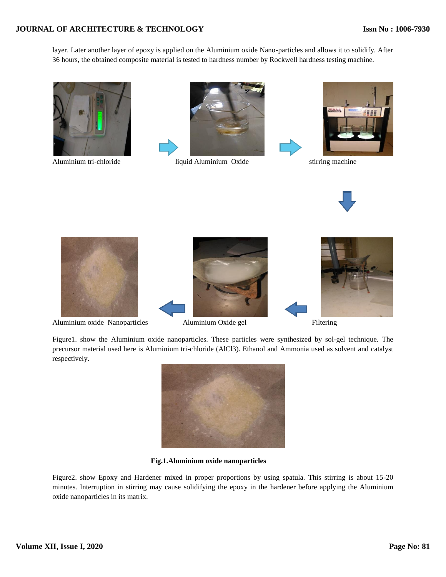# **JOURNAL OF ARCHITECTURE & TECHNOLOGY**

layer. Later another layer of epoxy is applied on the Aluminium oxide Nano-particles and allows it to solidify. After 36 hours, the obtained composite material is tested to hardness number by Rockwell hardness testing machine.





Aluminium tri-chloride liquid Aluminium Oxide stirring machine







Aluminium oxide Nanoparticles Aluminium Oxide gel Filtering





Figure1. show the Aluminium oxide nanoparticles. These particles were synthesized by sol-gel technique. The precursor material used here is Aluminium tri-chloride (AlCl3). Ethanol and Ammonia used as solvent and catalyst respectively.



**Fig.1.Aluminium oxide nanoparticles**

Figure2. show Epoxy and Hardener mixed in proper proportions by using spatula. This stirring is about 15-20 minutes. Interruption in stirring may cause solidifying the epoxy in the hardener before applying the Aluminium oxide nanoparticles in its matrix.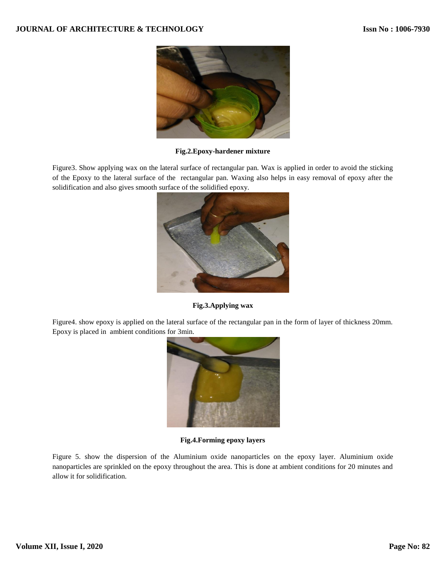

**Fig.2.Epoxy-hardener mixture**

Figure3. Show applying wax on the lateral surface of rectangular pan. Wax is applied in order to avoid the sticking of the Epoxy to the lateral surface of the rectangular pan. Waxing also helps in easy removal of epoxy after the solidification and also gives smooth surface of the solidified epoxy.



**Fig.3.Applying wax**

Figure4. show epoxy is applied on the lateral surface of the rectangular pan in the form of layer of thickness 20mm. Epoxy is placed in ambient conditions for 3min.



**Fig.4.Forming epoxy layers**

Figure 5. show the dispersion of the Aluminium oxide nanoparticles on the epoxy layer. Aluminium oxide nanoparticles are sprinkled on the epoxy throughout the area. This is done at ambient conditions for 20 minutes and allow it for solidification.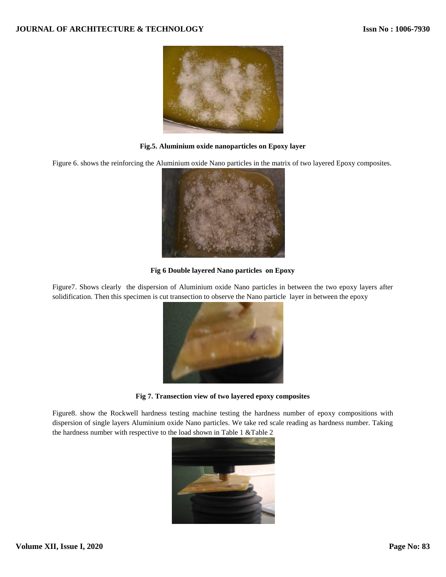

# **Fig.5. Aluminium oxide nanoparticles on Epoxy layer**

Figure 6. shows the reinforcing the Aluminium oxide Nano particles in the matrix of two layered Epoxy composites.



# **Fig 6 Double layered Nano particles on Epoxy**

Figure7. Shows clearly the dispersion of Aluminium oxide Nano particles in between the two epoxy layers after solidification. Then this specimen is cut transection to observe the Nano particle layer in between the epoxy



**Fig 7. Transection view of two layered epoxy composites**

Figure8. show the Rockwell hardness testing machine testing the hardness number of epoxy compositions with dispersion of single layers Aluminium oxide Nano particles. We take red scale reading as hardness number. Taking the hardness number with respective to the load shown in Table 1 &Table 2

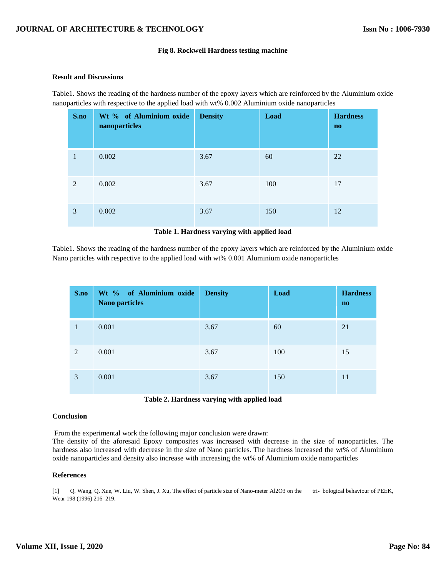#### **Fig 8. Rockwell Hardness testing machine**

#### **Result and Discussions**

Table1. Shows the reading of the hardness number of the epoxy layers which are reinforced by the Aluminium oxide nanoparticles with respective to the applied load with wt% 0.002 Aluminium oxide nanoparticles

| S.no | Wt % of Aluminium oxide<br>nanoparticles | <b>Density</b> | Load | <b>Hardness</b><br>$\mathbf{n}\mathbf{o}$ |
|------|------------------------------------------|----------------|------|-------------------------------------------|
| 1    | 0.002                                    | 3.67           | 60   | 22                                        |
| 2    | 0.002                                    | 3.67           | 100  | 17                                        |
| 3    | 0.002                                    | 3.67           | 150  | 12                                        |

#### **Table 1. Hardness varying with applied load**

Table1. Shows the reading of the hardness number of the epoxy layers which are reinforced by the Aluminium oxide Nano particles with respective to the applied load with wt% 0.001 Aluminium oxide nanoparticles

| S.no | Wt % of Aluminium oxide<br><b>Nano particles</b> | <b>Density</b> | Load | <b>Hardness</b><br>$\mathbf{n}\mathbf{o}$ |
|------|--------------------------------------------------|----------------|------|-------------------------------------------|
| 1    | 0.001                                            | 3.67           | 60   | 21                                        |
| 2    | 0.001                                            | 3.67           | 100  | 15                                        |
| 3    | 0.001                                            | 3.67           | 150  | 11                                        |

| Table 2. Hardness varying with applied load |  |  |  |  |  |
|---------------------------------------------|--|--|--|--|--|
|---------------------------------------------|--|--|--|--|--|

#### **Conclusion**

From the experimental work the following major conclusion were drawn:

The density of the aforesaid Epoxy composites was increased with decrease in the size of nanoparticles. The hardness also increased with decrease in the size of Nano particles. The hardness increased the wt% of Aluminium oxide nanoparticles and density also increase with increasing the wt% of Aluminium oxide nanoparticles

# **References**

[1] Q. Wang, Q. Xue, W. Liu, W. Shen, J. Xu, The effect of particle size of Nano-meter Al2O3 on the tri- bological behaviour of PEEK, Wear 198 (1996) 216–219.